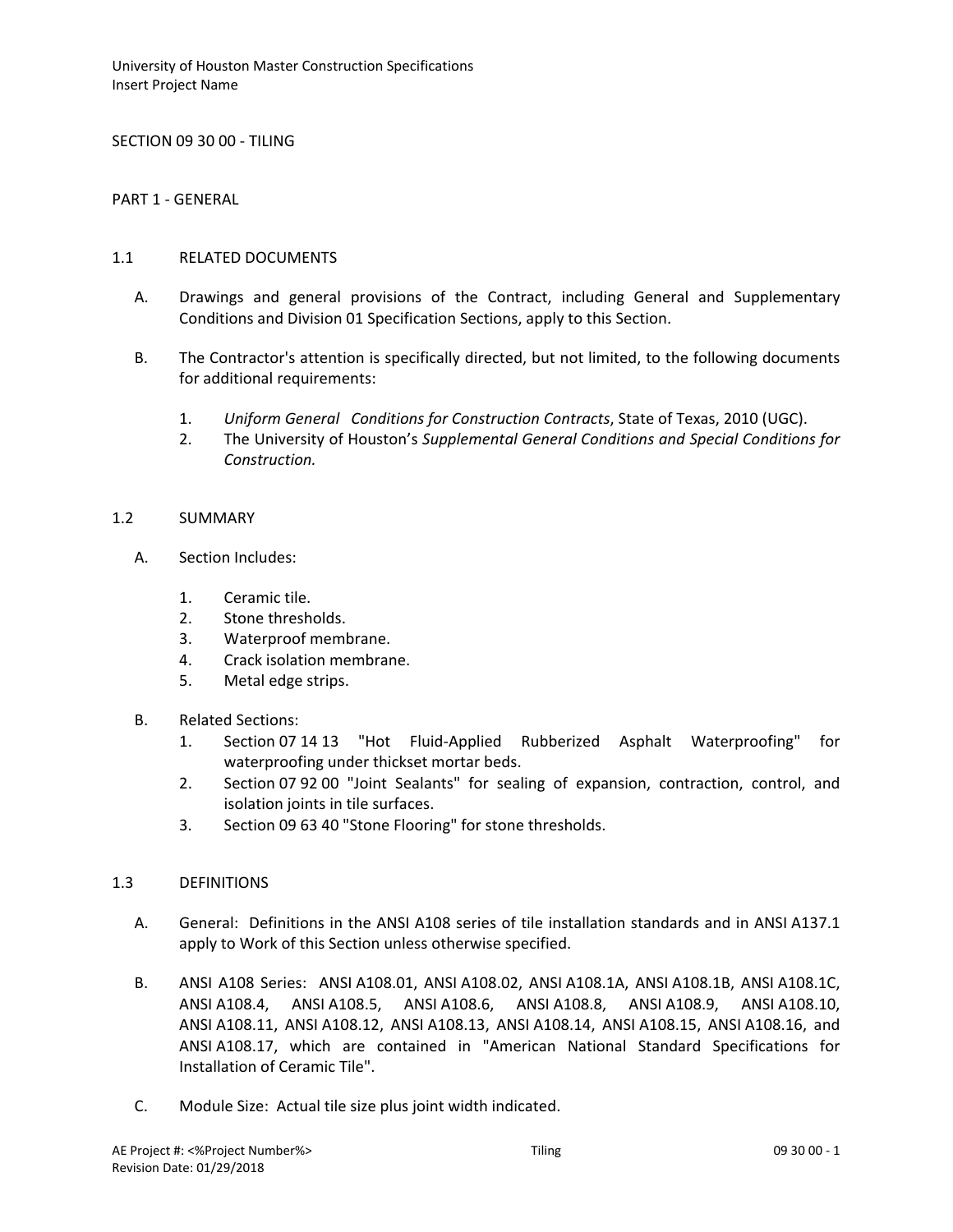SECTION 09 30 00 - TILING

PART 1 - GENERAL

#### 1.1 RELATED DOCUMENTS

- A. Drawings and general provisions of the Contract, including General and Supplementary Conditions and Division 01 Specification Sections, apply to this Section.
- B. The Contractor's attention is specifically directed, but not limited, to the following documents for additional requirements:
	- 1. *Uniform General Conditions for Construction Contracts*, State of Texas, 2010 (UGC).
	- 2. The University of Houston's *Supplemental General Conditions and Special Conditions for Construction.*

#### 1.2 SUMMARY

- A. Section Includes:
	- 1. Ceramic tile.
	- 2. Stone thresholds.
	- 3. Waterproof membrane.
	- 4. Crack isolation membrane.
	- 5. Metal edge strips.
- B. Related Sections:
	- 1. Section 07 14 13 "Hot Fluid-Applied Rubberized Asphalt Waterproofing" for waterproofing under thickset mortar beds.
	- 2. Section 07 92 00 "Joint Sealants" for sealing of expansion, contraction, control, and isolation joints in tile surfaces.
	- 3. Section 09 63 40 "Stone Flooring" for stone thresholds.

### 1.3 DEFINITIONS

- A. General: Definitions in the ANSI A108 series of tile installation standards and in ANSI A137.1 apply to Work of this Section unless otherwise specified.
- B. ANSI A108 Series: ANSI A108.01, ANSI A108.02, ANSI A108.1A, ANSI A108.1B, ANSI A108.1C, ANSI A108.4, ANSI A108.5, ANSI A108.6, ANSI A108.8, ANSI A108.9, ANSI A108.10, ANSI A108.11, ANSI A108.12, ANSI A108.13, ANSI A108.14, ANSI A108.15, ANSI A108.16, and ANSI A108.17, which are contained in "American National Standard Specifications for Installation of Ceramic Tile".
- C. Module Size: Actual tile size plus joint width indicated.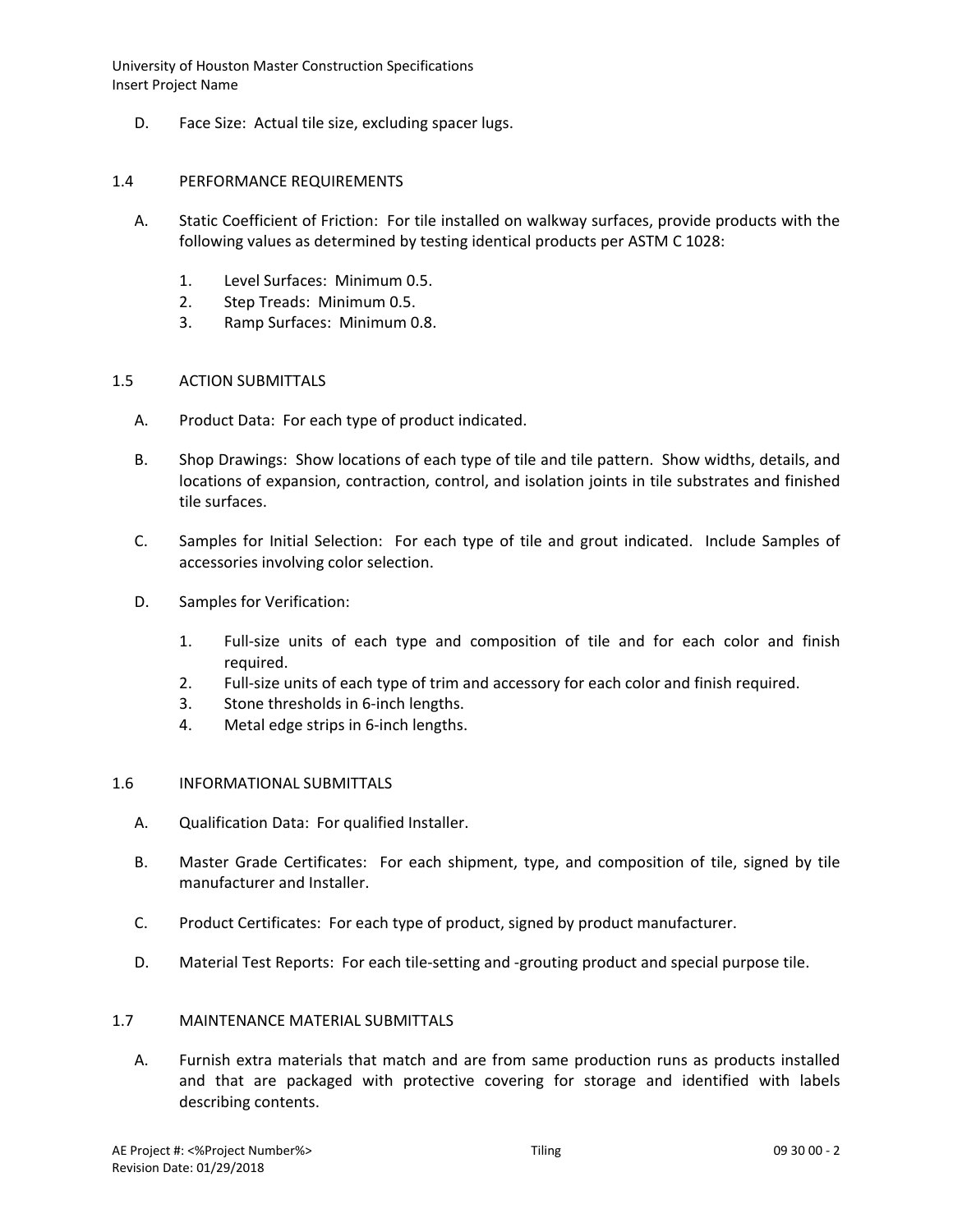D. Face Size: Actual tile size, excluding spacer lugs.

### 1.4 PERFORMANCE REQUIREMENTS

- A. Static Coefficient of Friction: For tile installed on walkway surfaces, provide products with the following values as determined by testing identical products per ASTM C 1028:
	- 1. Level Surfaces: Minimum 0.5.
	- 2. Step Treads: Minimum 0.5.
	- 3. Ramp Surfaces: Minimum 0.8.

### 1.5 ACTION SUBMITTALS

- A. Product Data: For each type of product indicated.
- B. Shop Drawings: Show locations of each type of tile and tile pattern. Show widths, details, and locations of expansion, contraction, control, and isolation joints in tile substrates and finished tile surfaces.
- C. Samples for Initial Selection: For each type of tile and grout indicated. Include Samples of accessories involving color selection.
- D. Samples for Verification:
	- 1. Full-size units of each type and composition of tile and for each color and finish required.
	- 2. Full-size units of each type of trim and accessory for each color and finish required.
	- 3. Stone thresholds in 6-inch lengths.
	- 4. Metal edge strips in 6-inch lengths.

### 1.6 INFORMATIONAL SUBMITTALS

- A. Qualification Data: For qualified Installer.
- B. Master Grade Certificates: For each shipment, type, and composition of tile, signed by tile manufacturer and Installer.
- C. Product Certificates: For each type of product, signed by product manufacturer.
- D. Material Test Reports: For each tile-setting and -grouting product and special purpose tile.

### 1.7 MAINTENANCE MATERIAL SUBMITTALS

A. Furnish extra materials that match and are from same production runs as products installed and that are packaged with protective covering for storage and identified with labels describing contents.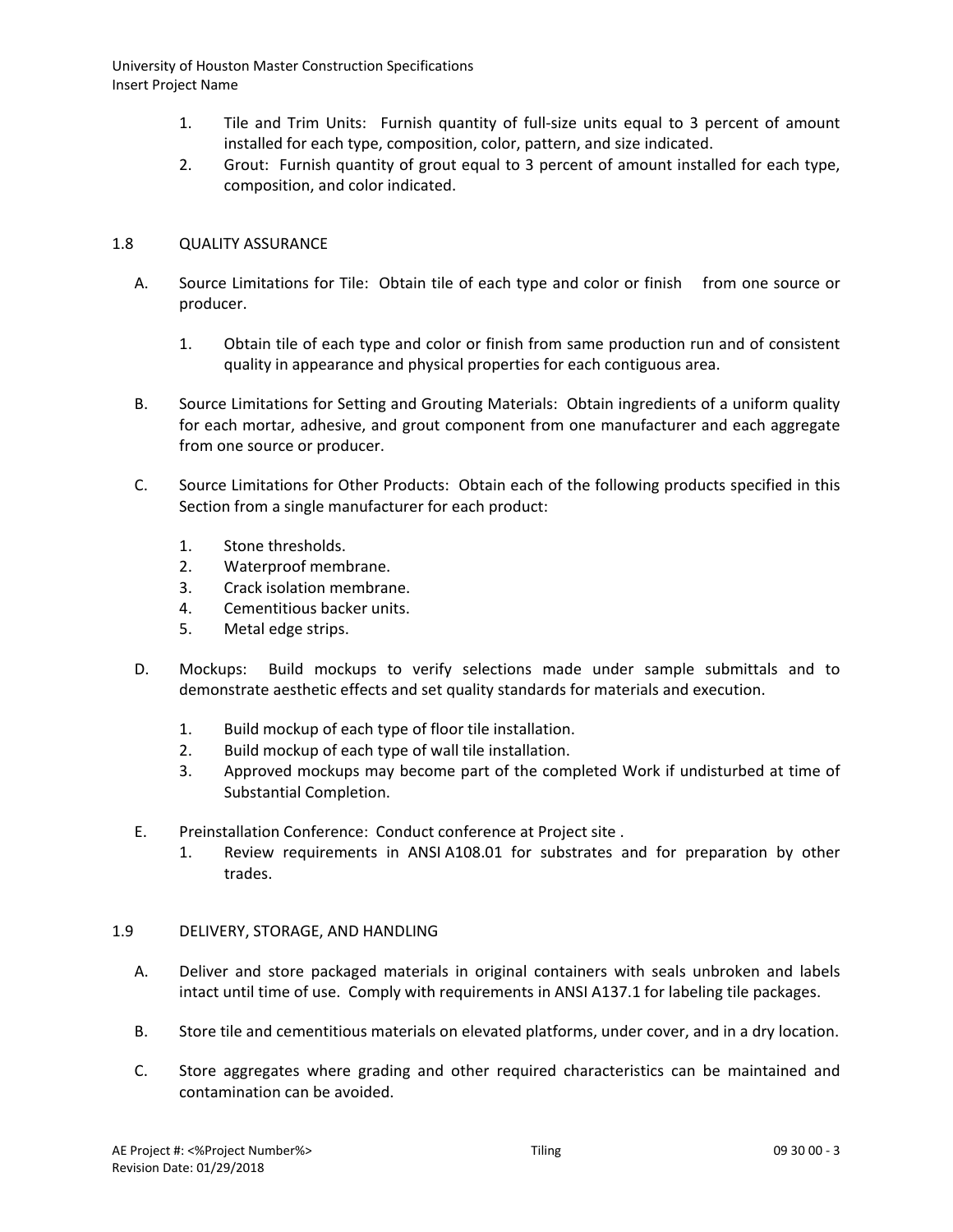- 1. Tile and Trim Units: Furnish quantity of full-size units equal to 3 percent of amount installed for each type, composition, color, pattern, and size indicated.
- 2. Grout: Furnish quantity of grout equal to 3 percent of amount installed for each type, composition, and color indicated.

# 1.8 QUALITY ASSURANCE

- A. Source Limitations for Tile: Obtain tile of each type and color or finish from one source or producer.
	- 1. Obtain tile of each type and color or finish from same production run and of consistent quality in appearance and physical properties for each contiguous area.
- B. Source Limitations for Setting and Grouting Materials: Obtain ingredients of a uniform quality for each mortar, adhesive, and grout component from one manufacturer and each aggregate from one source or producer.
- C. Source Limitations for Other Products: Obtain each of the following products specified in this Section from a single manufacturer for each product:
	- 1. Stone thresholds.
	- 2. Waterproof membrane.
	- 3. Crack isolation membrane.
	- 4. Cementitious backer units.
	- 5. Metal edge strips.
- D. Mockups: Build mockups to verify selections made under sample submittals and to demonstrate aesthetic effects and set quality standards for materials and execution.
	- 1. Build mockup of each type of floor tile installation.
	- 2. Build mockup of each type of wall tile installation.
	- 3. Approved mockups may become part of the completed Work if undisturbed at time of Substantial Completion.
- E. Preinstallation Conference: Conduct conference at Project site .
	- 1. Review requirements in ANSI A108.01 for substrates and for preparation by other trades.

### 1.9 DELIVERY, STORAGE, AND HANDLING

- A. Deliver and store packaged materials in original containers with seals unbroken and labels intact until time of use. Comply with requirements in ANSI A137.1 for labeling tile packages.
- B. Store tile and cementitious materials on elevated platforms, under cover, and in a dry location.
- C. Store aggregates where grading and other required characteristics can be maintained and contamination can be avoided.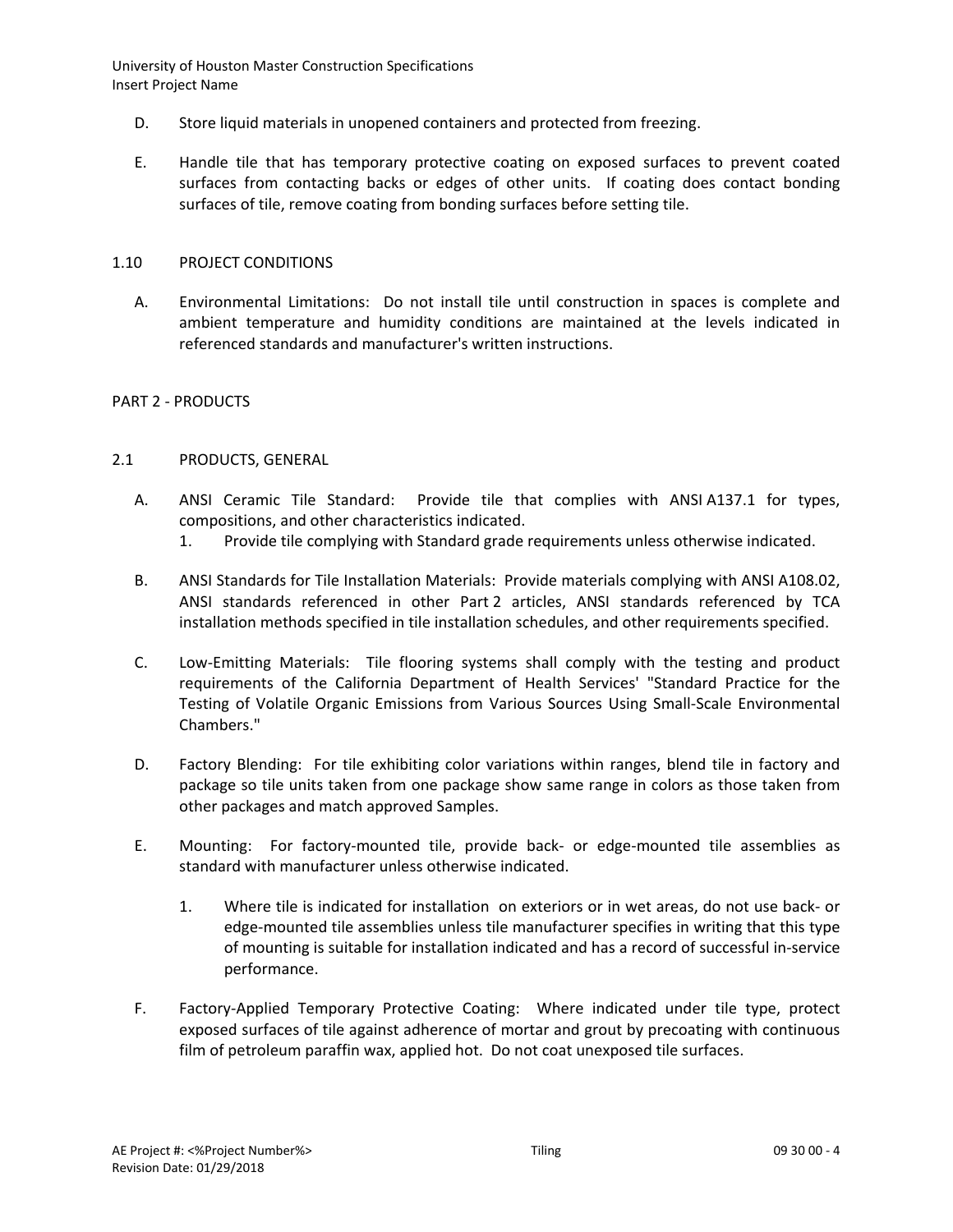- D. Store liquid materials in unopened containers and protected from freezing.
- E. Handle tile that has temporary protective coating on exposed surfaces to prevent coated surfaces from contacting backs or edges of other units. If coating does contact bonding surfaces of tile, remove coating from bonding surfaces before setting tile.

### 1.10 PROJECT CONDITIONS

A. Environmental Limitations: Do not install tile until construction in spaces is complete and ambient temperature and humidity conditions are maintained at the levels indicated in referenced standards and manufacturer's written instructions.

## PART 2 - PRODUCTS

#### 2.1 PRODUCTS, GENERAL

- A. ANSI Ceramic Tile Standard: Provide tile that complies with ANSI A137.1 for types, compositions, and other characteristics indicated.
	- 1. Provide tile complying with Standard grade requirements unless otherwise indicated.
- B. ANSI Standards for Tile Installation Materials: Provide materials complying with ANSI A108.02, ANSI standards referenced in other Part 2 articles, ANSI standards referenced by TCA installation methods specified in tile installation schedules, and other requirements specified.
- C. Low-Emitting Materials: Tile flooring systems shall comply with the testing and product requirements of the California Department of Health Services' "Standard Practice for the Testing of Volatile Organic Emissions from Various Sources Using Small-Scale Environmental Chambers."
- D. Factory Blending: For tile exhibiting color variations within ranges, blend tile in factory and package so tile units taken from one package show same range in colors as those taken from other packages and match approved Samples.
- E. Mounting: For factory-mounted tile, provide back- or edge-mounted tile assemblies as standard with manufacturer unless otherwise indicated.
	- 1. Where tile is indicated for installation on exteriors or in wet areas, do not use back- or edge-mounted tile assemblies unless tile manufacturer specifies in writing that this type of mounting is suitable for installation indicated and has a record of successful in-service performance.
- F. Factory-Applied Temporary Protective Coating: Where indicated under tile type, protect exposed surfaces of tile against adherence of mortar and grout by precoating with continuous film of petroleum paraffin wax, applied hot. Do not coat unexposed tile surfaces.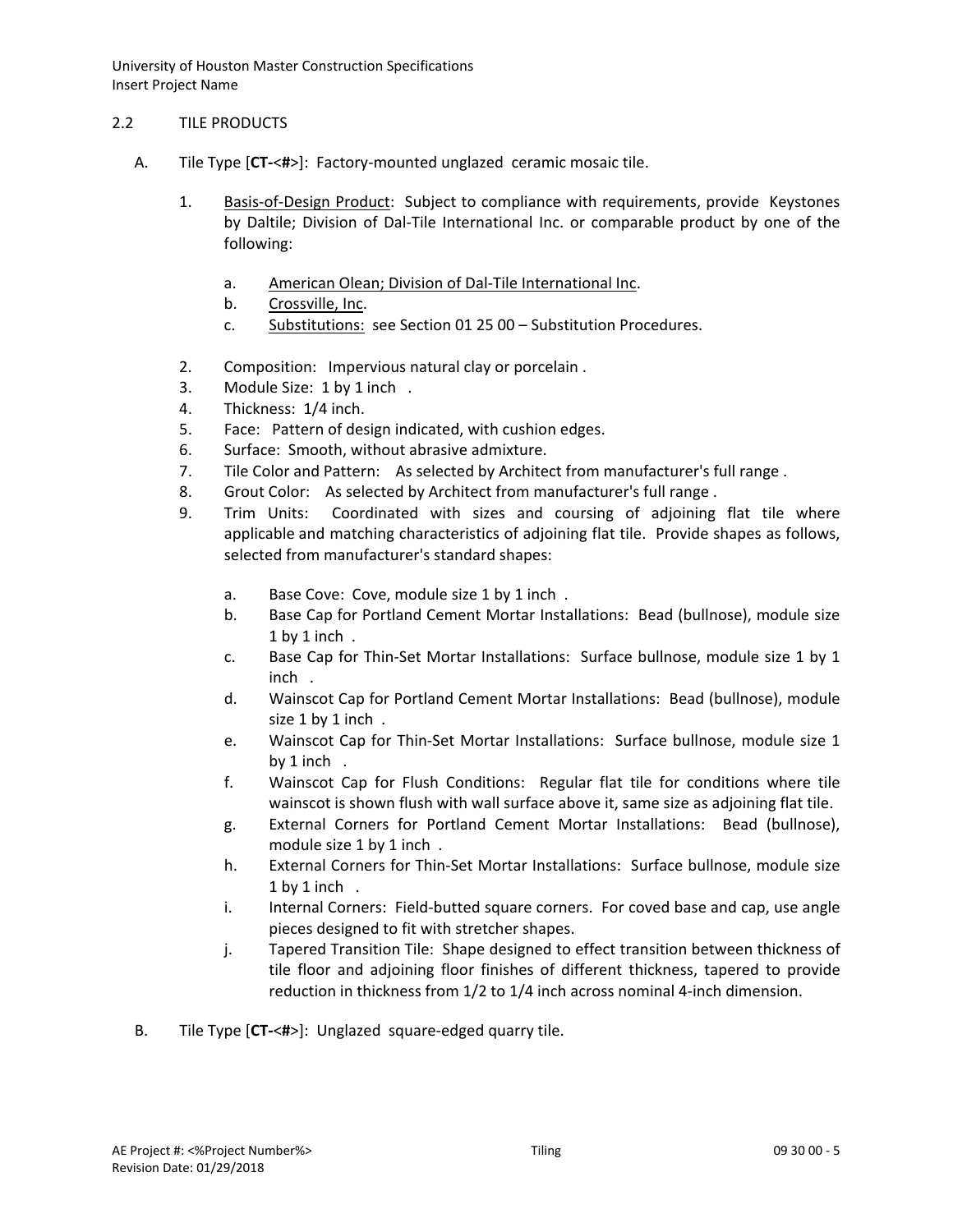# 2.2 TILE PRODUCTS

- A. Tile Type [**CT-**<**#**>]: Factory-mounted unglazed ceramic mosaic tile.
	- 1. [Basis-of-Design Product:](http://www.specagent.com/LookUp/?ulid=273&mf=04&src=wd) Subject to compliance with requirements, provide Keystones by Daltile; Division of Dal-Tile International Inc. or comparable product by one of the following:
		- a. [American Olean; Division of Dal-Tile International Inc.](http://www.specagent.com/LookUp/?uid=123456812513&mf=04&src=wd)
		- b. [Crossville, Inc.](http://www.specagent.com/LookUp/?uid=123456792487&mf=04&src=wd)
		- c. Substitutions: see Section 01 25 00 Substitution Procedures.
	- 2. Composition: Impervious natural clay or porcelain .
	- 3. Module Size: 1 by 1 inch .
	- 4. Thickness: 1/4 inch.
	- 5. Face: Pattern of design indicated, with cushion edges.
	- 6. Surface: Smooth, without abrasive admixture.
	- 7. Tile Color and Pattern: As selected by Architect from manufacturer's full range .
	- 8. Grout Color: As selected by Architect from manufacturer's full range .
	- 9. Trim Units: Coordinated with sizes and coursing of adjoining flat tile where applicable and matching characteristics of adjoining flat tile. Provide shapes as follows, selected from manufacturer's standard shapes:
		- a. Base Cove: Cove, module size 1 by 1 inch .
		- b. Base Cap for Portland Cement Mortar Installations: Bead (bullnose), module size 1 by 1 inch .
		- c. Base Cap for Thin-Set Mortar Installations: Surface bullnose, module size 1 by 1 inch .
		- d. Wainscot Cap for Portland Cement Mortar Installations: Bead (bullnose), module size 1 by 1 inch .
		- e. Wainscot Cap for Thin-Set Mortar Installations: Surface bullnose, module size 1 by 1 inch .
		- f. Wainscot Cap for Flush Conditions: Regular flat tile for conditions where tile wainscot is shown flush with wall surface above it, same size as adjoining flat tile.
		- g. External Corners for Portland Cement Mortar Installations: Bead (bullnose), module size 1 by 1 inch .
		- h. External Corners for Thin-Set Mortar Installations: Surface bullnose, module size 1 by 1 inch .
		- i. Internal Corners: Field-butted square corners. For coved base and cap, use angle pieces designed to fit with stretcher shapes.
		- j. Tapered Transition Tile: Shape designed to effect transition between thickness of tile floor and adjoining floor finishes of different thickness, tapered to provide reduction in thickness from 1/2 to 1/4 inch across nominal 4-inch dimension.
- B. Tile Type [**CT-**<**#**>]: Unglazed square-edged quarry tile.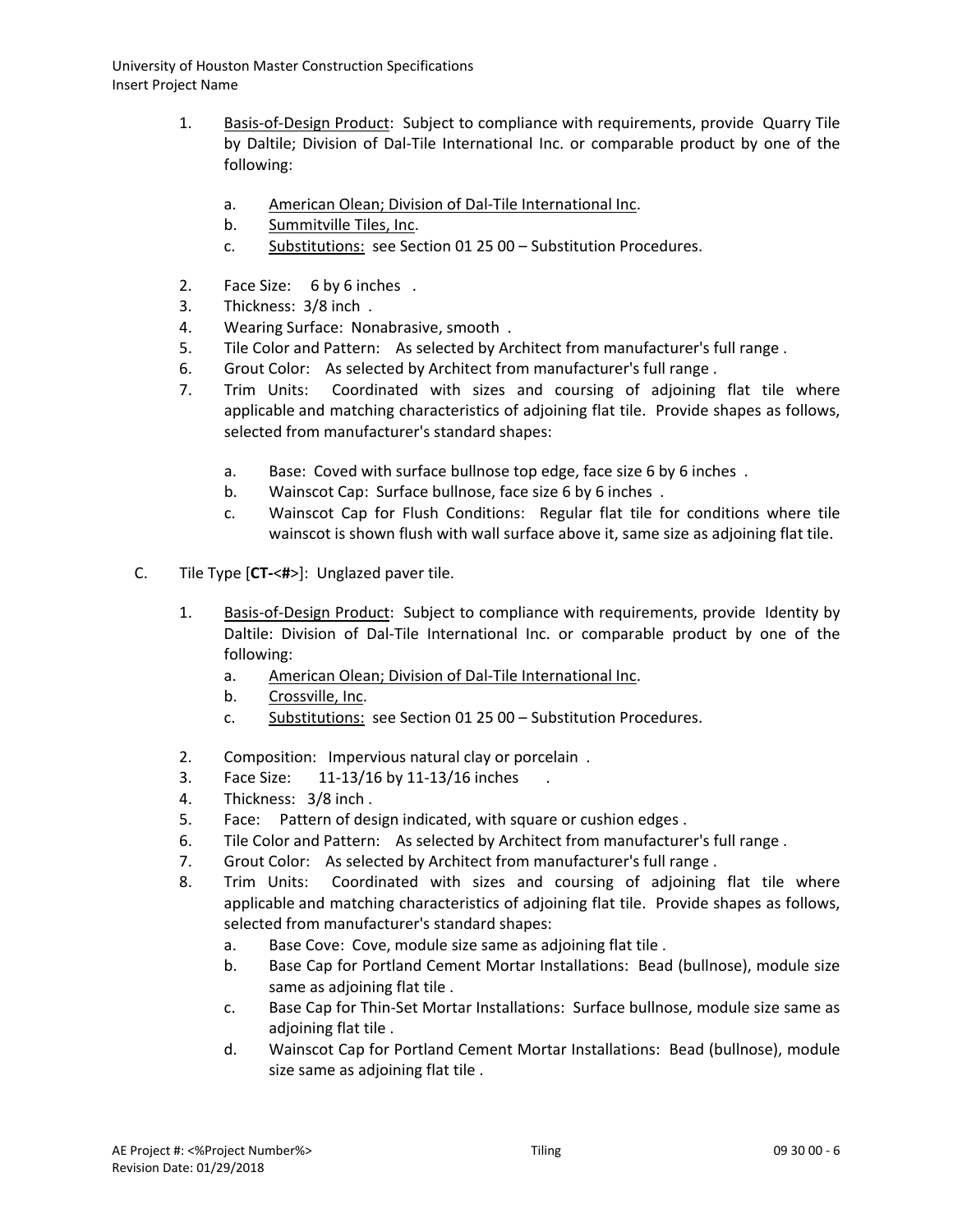- 1. [Basis-of-Design Product:](http://www.specagent.com/LookUp/?ulid=274&mf=04&src=wd) Subject to compliance with requirements, provide Quarry Tile by Daltile; Division of Dal-Tile International Inc. or comparable product by one of the following:
	- a. [American Olean; Division of Dal-Tile International Inc.](http://www.specagent.com/LookUp/?uid=123456812515&mf=04&src=wd)
	- b. [Summitville Tiles, Inc.](http://www.specagent.com/LookUp/?uid=123456792503&mf=04&src=wd)
	- c. Substitutions: see Section 01 25 00 Substitution Procedures.
- 2. Face Size: 6 by 6 inches .
- 3. Thickness: 3/8 inch .
- 4. Wearing Surface: Nonabrasive, smooth .
- 5. Tile Color and Pattern: As selected by Architect from manufacturer's full range .
- 6. Grout Color: As selected by Architect from manufacturer's full range .
- 7. Trim Units: Coordinated with sizes and coursing of adjoining flat tile where applicable and matching characteristics of adjoining flat tile. Provide shapes as follows, selected from manufacturer's standard shapes:
	- a. Base: Coved with surface bullnose top edge, face size 6 by 6 inches .
	- b. Wainscot Cap: Surface bullnose, face size 6 by 6 inches .
	- c. Wainscot Cap for Flush Conditions: Regular flat tile for conditions where tile wainscot is shown flush with wall surface above it, same size as adjoining flat tile.
- C. Tile Type [**CT-**<**#**>]: Unglazed paver tile.
	- 1. [Basis-of-Design Product:](http://www.specagent.com/LookUp/?ulid=275&mf=04&src=wd) Subject to compliance with requirements, provide Identity by Daltile: Division of Dal-Tile International Inc. or comparable product by one of the following:
		- a. [American Olean; Division of Dal-Tile International Inc.](http://www.specagent.com/LookUp/?uid=123456812518&mf=04&src=wd)
		- b. [Crossville, Inc.](http://www.specagent.com/LookUp/?uid=123456793720&mf=04&src=wd)
		- c. Substitutions: see Section 01 25 00 Substitution Procedures.
	- 2. Composition: Impervious natural clay or porcelain .
	- 3. Face Size: 11-13/16 by 11-13/16 inches
	- 4. Thickness: 3/8 inch .
	- 5. Face: Pattern of design indicated, with square or cushion edges .
	- 6. Tile Color and Pattern: As selected by Architect from manufacturer's full range .
	- 7. Grout Color: As selected by Architect from manufacturer's full range .
	- 8. Trim Units: Coordinated with sizes and coursing of adjoining flat tile where applicable and matching characteristics of adjoining flat tile. Provide shapes as follows, selected from manufacturer's standard shapes:
		- a. Base Cove: Cove, module size same as adjoining flat tile .
		- b. Base Cap for Portland Cement Mortar Installations: Bead (bullnose), module size same as adjoining flat tile .
		- c. Base Cap for Thin-Set Mortar Installations: Surface bullnose, module size same as adjoining flat tile .
		- d. Wainscot Cap for Portland Cement Mortar Installations: Bead (bullnose), module size same as adjoining flat tile .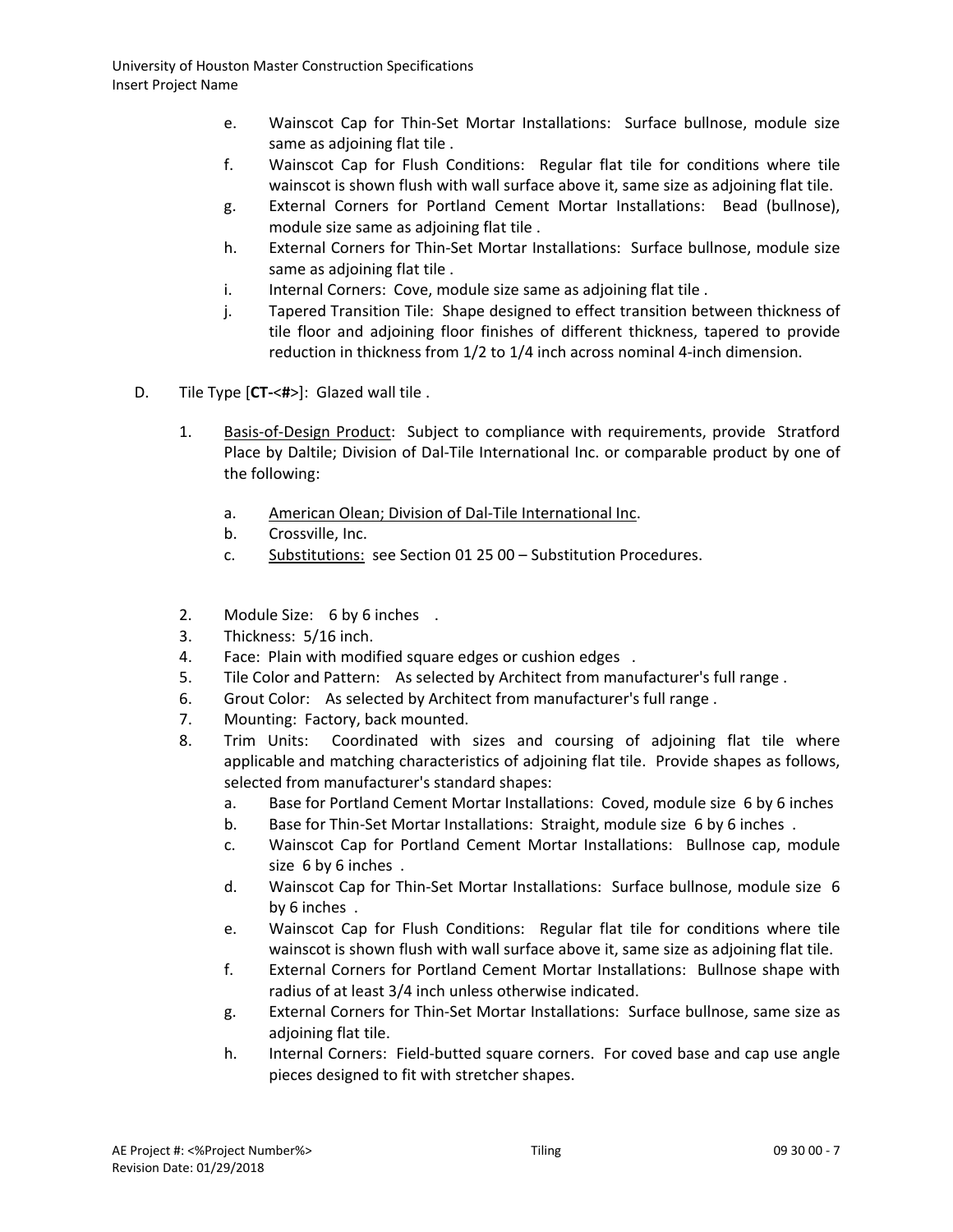- e. Wainscot Cap for Thin-Set Mortar Installations: Surface bullnose, module size same as adjoining flat tile .
- f. Wainscot Cap for Flush Conditions: Regular flat tile for conditions where tile wainscot is shown flush with wall surface above it, same size as adjoining flat tile.
- g. External Corners for Portland Cement Mortar Installations: Bead (bullnose), module size same as adjoining flat tile .
- h. External Corners for Thin-Set Mortar Installations: Surface bullnose, module size same as adjoining flat tile .
- i. Internal Corners: Cove, module size same as adjoining flat tile.
- j. Tapered Transition Tile: Shape designed to effect transition between thickness of tile floor and adjoining floor finishes of different thickness, tapered to provide reduction in thickness from 1/2 to 1/4 inch across nominal 4-inch dimension.
- D. Tile Type [**CT-**<**#**>]: Glazed wall tile .
	- 1. [Basis-of-Design Product:](http://www.specagent.com/LookUp/?ulid=276&mf=04&src=wd) Subject to compliance with requirements, provide Stratford Place by Daltile; Division of Dal-Tile International Inc. or comparable product by one of the following:
		- a. [American Olean; Division of Dal-Tile International Inc.](http://www.specagent.com/LookUp/?uid=123456812521&mf=04&src=wd)
		- b. Crossville, Inc.
		- c. Substitutions: see Section 01 25 00 Substitution Procedures.
	- 2. Module Size: 6 by 6 inches .
	- 3. Thickness: 5/16 inch.
	- 4. Face: Plain with modified square edges or cushion edges .
	- 5. Tile Color and Pattern: As selected by Architect from manufacturer's full range .
	- 6. Grout Color: As selected by Architect from manufacturer's full range .
	- 7. Mounting: Factory, back mounted.
	- 8. Trim Units: Coordinated with sizes and coursing of adjoining flat tile where applicable and matching characteristics of adjoining flat tile. Provide shapes as follows, selected from manufacturer's standard shapes:
		- a. Base for Portland Cement Mortar Installations: Coved, module size 6 by 6 inches
		- b. Base for Thin-Set Mortar Installations: Straight, module size 6 by 6 inches .
		- c. Wainscot Cap for Portland Cement Mortar Installations: Bullnose cap, module size 6 by 6 inches .
		- d. Wainscot Cap for Thin-Set Mortar Installations: Surface bullnose, module size 6 by 6 inches .
		- e. Wainscot Cap for Flush Conditions: Regular flat tile for conditions where tile wainscot is shown flush with wall surface above it, same size as adjoining flat tile.
		- f. External Corners for Portland Cement Mortar Installations: Bullnose shape with radius of at least 3/4 inch unless otherwise indicated.
		- g. External Corners for Thin-Set Mortar Installations: Surface bullnose, same size as adjoining flat tile.
		- h. Internal Corners: Field-butted square corners. For coved base and cap use angle pieces designed to fit with stretcher shapes.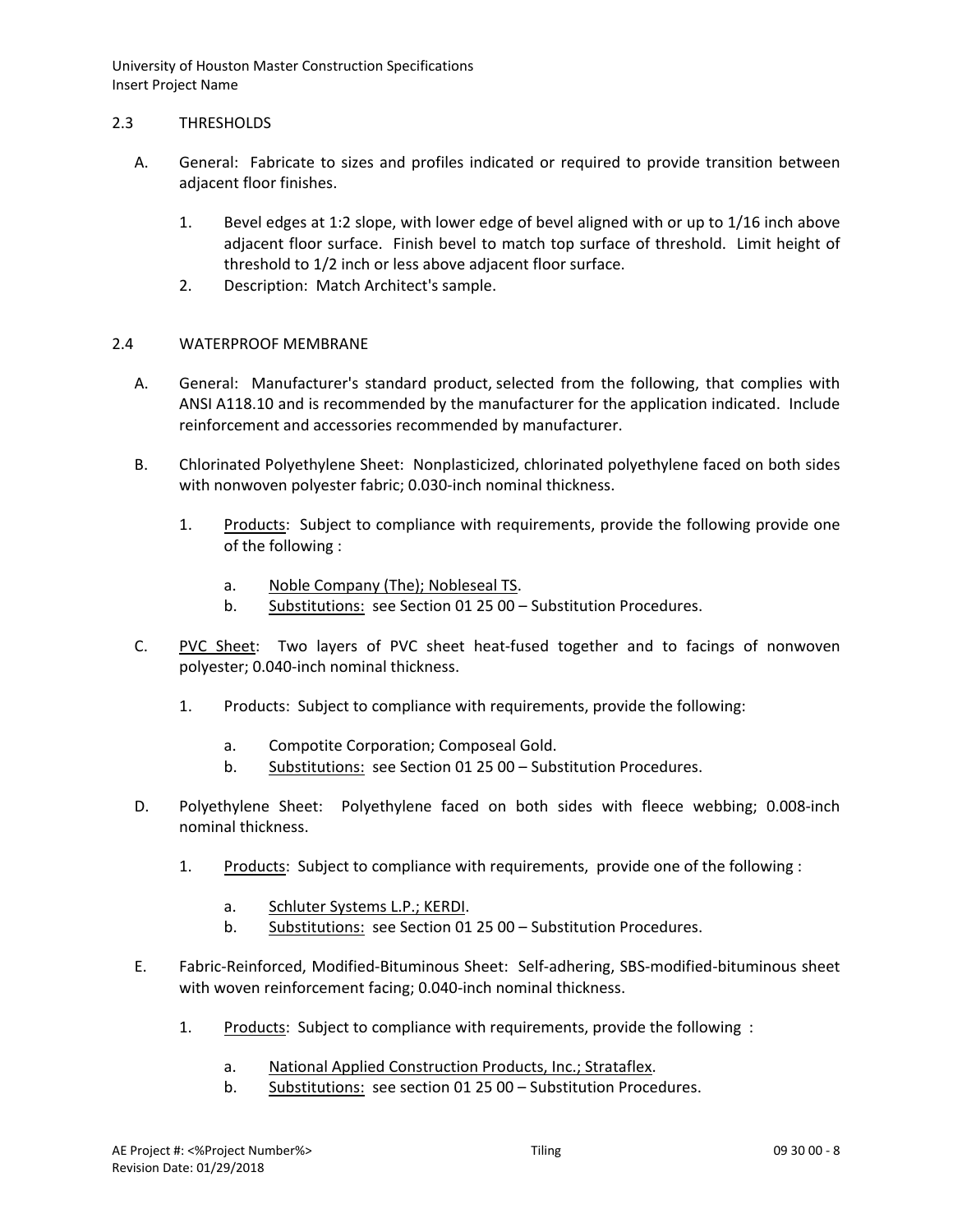### 2.3 THRESHOLDS

- A. General: Fabricate to sizes and profiles indicated or required to provide transition between adjacent floor finishes.
	- 1. Bevel edges at 1:2 slope, with lower edge of bevel aligned with or up to 1/16 inch above adjacent floor surface. Finish bevel to match top surface of threshold. Limit height of threshold to 1/2 inch or less above adjacent floor surface.
	- 2. Description: Match Architect's sample.

## 2.4 WATERPROOF MEMBRANE

- A. General: Manufacturer's standard product, selected from the following, that complies with ANSI A118.10 and is recommended by the manufacturer for the application indicated. Include reinforcement and accessories recommended by manufacturer.
- B. Chlorinated Polyethylene Sheet: Nonplasticized, chlorinated polyethylene faced on both sides with nonwoven polyester fabric; 0.030-inch nominal thickness.
	- 1. [Products:](http://www.specagent.com/LookUp/?ulid=279&mf=04&src=wd) Subject to compliance with requirements, provide the following provide one of the following :
		- a. [Noble Company \(The\); Nobleseal TS.](http://www.specagent.com/LookUp/?uid=123456814844&mf=04&src=wd)
		- b. Substitutions: see Section 01 25 00 Substitution Procedures.
- C. [PVC Sheet:](http://www.specagent.com/LookUp/?ulid=280&mf=04&src=wd) Two layers of PVC sheet heat-fused together and to facings of nonwoven polyester; 0.040-inch nominal thickness.
	- 1. Products: Subject to compliance with requirements, provide the following:
		- a. [Compotite Corporation; Composeal Gold.](http://www.specagent.com/LookUp/?uid=123456814845&mf=04&src=wd)
		- b. Substitutions: see Section 01 25 00 Substitution Procedures.
- D. Polyethylene Sheet: Polyethylene faced on both sides with fleece webbing; 0.008-inch nominal thickness.
	- 1. [Products:](http://www.specagent.com/LookUp/?ulid=281&mf=04&src=wd) Subject to compliance with requirements, provide one of the following :
		- a. [Schluter Systems L.P.; KERDI.](http://www.specagent.com/LookUp/?uid=123456814846&mf=04&src=wd)
		- b. Substitutions: see Section 01 25 00 Substitution Procedures.
- E. Fabric-Reinforced, Modified-Bituminous Sheet: Self-adhering, SBS-modified-bituminous sheet with woven reinforcement facing; 0.040-inch nominal thickness.
	- 1. [Products:](http://www.specagent.com/LookUp/?ulid=282&mf=04&src=wd) Subject to compliance with requirements, provide the following :
		- a. [National Applied Construction Products, Inc.; Strataflex.](http://www.specagent.com/LookUp/?uid=123456814847&mf=04&src=wd)
		- b. Substitutions: see section 01 25 00 Substitution Procedures.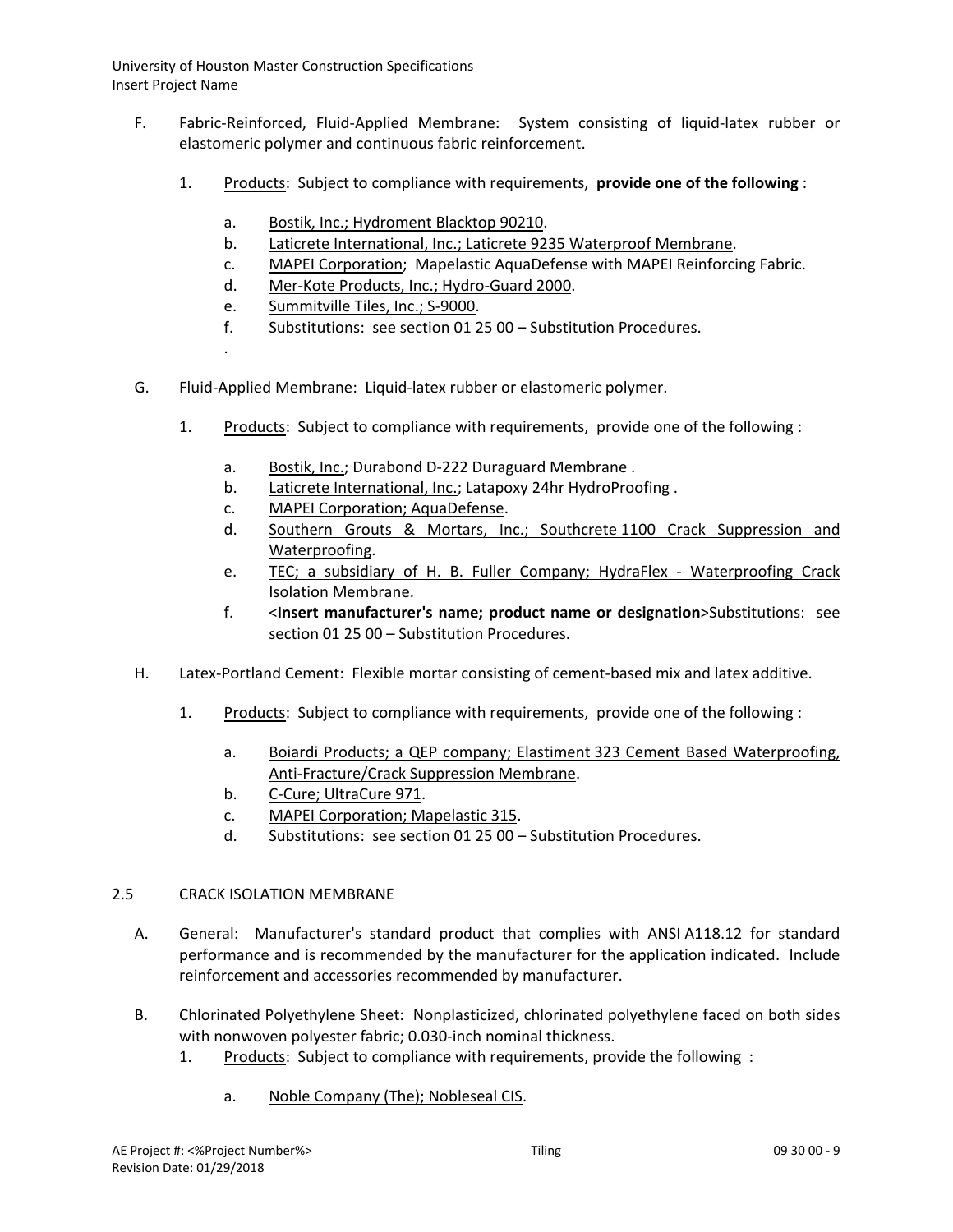- F. Fabric-Reinforced, Fluid-Applied Membrane: System consisting of liquid-latex rubber or elastomeric polymer and continuous fabric reinforcement.
	- 1. [Products:](http://www.specagent.com/LookUp/?ulid=283&mf=04&src=wd) Subject to compliance with requirements, **provide one of the following** :
		- a. [Bostik, Inc.; Hydroment Blacktop](http://www.specagent.com/LookUp/?uid=123456814850&mf=04&src=wd) 90210.
		- b. [Laticrete International, Inc.; Laticrete](http://www.specagent.com/LookUp/?uid=123456814852&mf=04&src=wd) 9235 Waterproof Membrane.
		- c. [MAPEI Corporation;](http://www.specagent.com/LookUp/?uid=123456814853&mf=04&src=wd) Mapelastic AquaDefense with MAPEI Reinforcing Fabric.
		- d. [Mer-Kote Products, Inc.; Hydro-Guard 2000.](http://www.specagent.com/LookUp/?uid=123456814854&mf=04&src=wd)
		- e. [Summitville Tiles, Inc.; S-9000.](http://www.specagent.com/LookUp/?uid=123456814855&mf=04&src=wd)
		- f. Substitutions: see section 01 25 00 Substitution Procedures.
		- .

G. Fluid-Applied Membrane: Liquid-latex rubber or elastomeric polymer.

- 1. [Products:](http://www.specagent.com/LookUp/?ulid=284&mf=04&src=wd) Subject to compliance with requirements, provide one of the following :
	- a. [Bostik, Inc.;](http://www.specagent.com/LookUp/?uid=123456814858&mf=04&src=wd) Durabond D-222 Duraguard Membrane .
	- b. [Laticrete International, Inc.;](http://www.specagent.com/LookUp/?uid=123456814862&mf=04&src=wd) Latapoxy 24hr HydroProofing.
	- c. [MAPEI Corporation; AquaDefense.](http://www.specagent.com/LookUp/?uid=123456814863&mf=04&src=wd)
	- d. [Southern Grouts & Mortars, Inc.; Southcrete](http://www.specagent.com/LookUp/?uid=123456814864&mf=04&src=wd) 1100 Crack Suppression and [Waterproofing.](http://www.specagent.com/LookUp/?uid=123456814864&mf=04&src=wd)
	- e. [TEC; a subsidiary of H. B. Fuller Company; HydraFlex -](http://www.specagent.com/LookUp/?uid=123456814865&mf=04&src=wd) Waterproofing Crack [Isolation Membrane.](http://www.specagent.com/LookUp/?uid=123456814865&mf=04&src=wd)
	- f. <**Insert manufacturer's name; product name or designation**>Substitutions: see section 01 25 00 – Substitution Procedures.
- H. Latex-Portland Cement: Flexible mortar consisting of cement-based mix and latex additive.
	- 1. [Products:](http://www.specagent.com/LookUp/?ulid=285&mf=04&src=wd) Subject to compliance with requirements, provide one of the following :
		- a. [Boiardi Products; a QEP company; Elastiment](http://www.specagent.com/LookUp/?uid=123456814866&mf=04&src=wd) 323 Cement Based Waterproofing, [Anti-Fracture/Crack Suppression Membrane.](http://www.specagent.com/LookUp/?uid=123456814866&mf=04&src=wd)
		- b. [C-Cure; UltraCure](http://www.specagent.com/LookUp/?uid=123456814867&mf=04&src=wd) 971.
		- c. [MAPEI Corporation; Mapelastic 315.](http://www.specagent.com/LookUp/?uid=123456814868&mf=04&src=wd)
		- d. Substitutions: see section 01 25 00 Substitution Procedures.

### 2.5 CRACK ISOLATION MEMBRANE

- A. General: Manufacturer's standard product that complies with ANSI A118.12 for standard performance and is recommended by the manufacturer for the application indicated. Include reinforcement and accessories recommended by manufacturer.
- B. Chlorinated Polyethylene Sheet: Nonplasticized, chlorinated polyethylene faced on both sides with nonwoven polyester fabric; 0.030-inch nominal thickness.
	- 1. [Products:](http://www.specagent.com/LookUp/?ulid=287&mf=04&src=wd) Subject to compliance with requirements, provide the following :
		- a. [Noble Company \(The\); Nobleseal CIS.](http://www.specagent.com/LookUp/?uid=123456814872&mf=04&src=wd)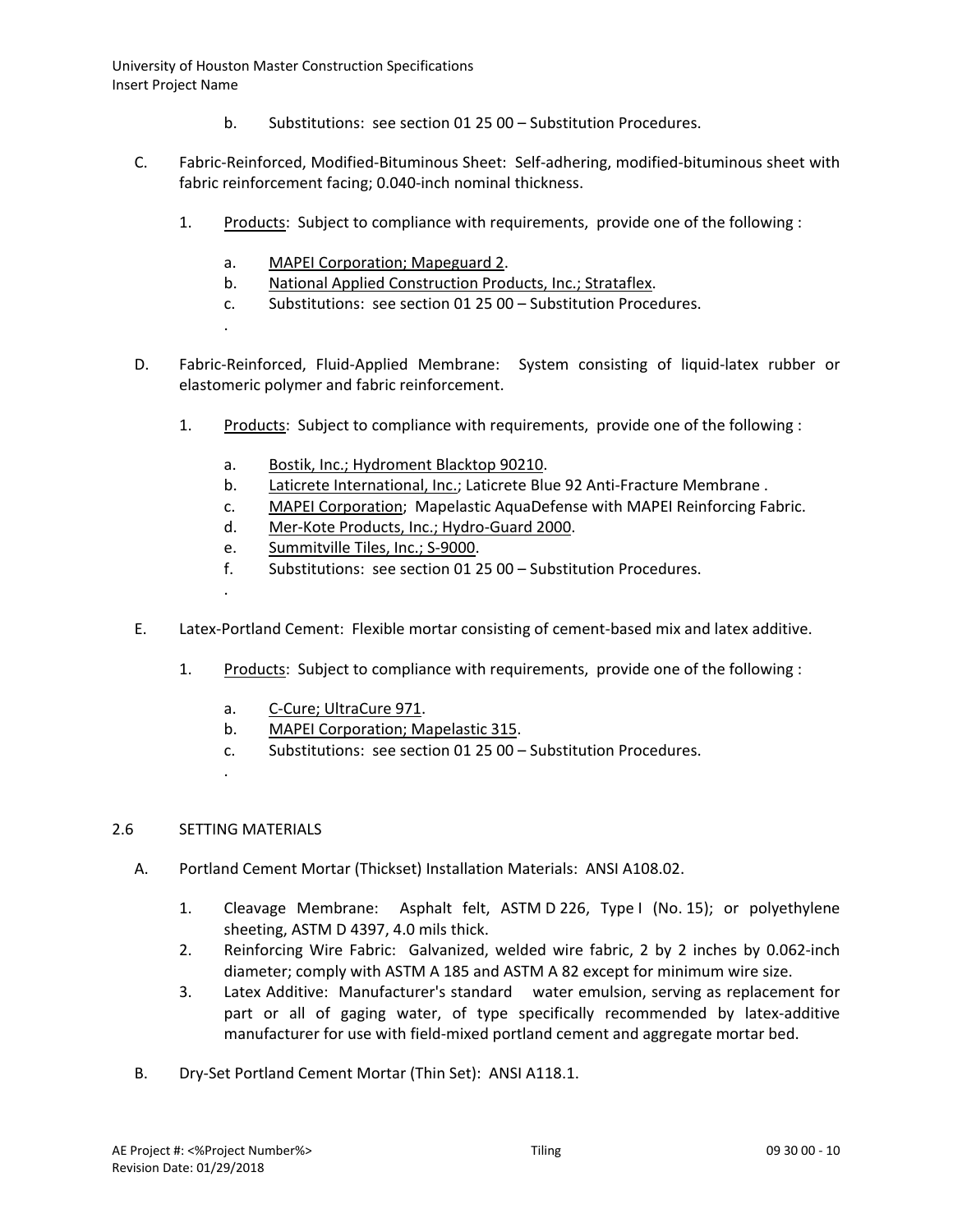- b. Substitutions: see section 01 25 00 Substitution Procedures.
- C. Fabric-Reinforced, Modified-Bituminous Sheet: Self-adhering, modified-bituminous sheet with fabric reinforcement facing; 0.040-inch nominal thickness.
	- 1. [Products:](http://www.specagent.com/LookUp/?ulid=292&mf=04&src=wd) Subject to compliance with requirements, provide one of the following :
		- a. [MAPEI Corporation; Mapeguard 2.](http://www.specagent.com/LookUp/?uid=123456814876&mf=04&src=wd)
		- b. [National Applied Construction Products, Inc.; Strataflex.](http://www.specagent.com/LookUp/?uid=123456814877&mf=04&src=wd)
		- c. Substitutions: see section 01 25 00 Substitution Procedures.
		- .

D. Fabric-Reinforced, Fluid-Applied Membrane: System consisting of liquid-latex rubber or elastomeric polymer and fabric reinforcement.

- 1. [Products:](http://www.specagent.com/LookUp/?ulid=293&mf=04&src=wd) Subject to compliance with requirements, provide one of the following :
	- a. [Bostik, Inc.; Hydroment Blacktop](http://www.specagent.com/LookUp/?uid=123456814880&mf=04&src=wd) 90210.
	- b. [Laticrete International, Inc.;](http://www.specagent.com/LookUp/?uid=123456814882&mf=04&src=wd) Laticrete Blue 92 Anti-Fracture Membrane.
	- c. [MAPEI Corporation;](http://www.specagent.com/LookUp/?uid=123456814883&mf=04&src=wd) Mapelastic AquaDefense with MAPEI Reinforcing Fabric.
	- d. [Mer-Kote Products, Inc.; Hydro-Guard 2000.](http://www.specagent.com/LookUp/?uid=123456814884&mf=04&src=wd)
	- e. [Summitville Tiles, Inc.; S-9000.](http://www.specagent.com/LookUp/?uid=123456814885&mf=04&src=wd)
	- f. Substitutions: see section 01 25 00 Substitution Procedures.
- E. Latex-Portland Cement: Flexible mortar consisting of cement-based mix and latex additive.
	- 1. [Products:](http://www.specagent.com/LookUp/?ulid=295&mf=04&src=wd) Subject to compliance with requirements, provide one of the following :
		- a. [C-Cure; UltraCure](http://www.specagent.com/LookUp/?uid=123456814894&mf=04&src=wd) 971.
		- b. [MAPEI Corporation; Mapelastic 315.](http://www.specagent.com/LookUp/?uid=123456814895&mf=04&src=wd)
		- c. Substitutions: see section 01 25 00 Substitution Procedures.

### 2.6 SETTING MATERIALS

.

.

- A. Portland Cement Mortar (Thickset) Installation Materials: ANSI A108.02.
	- 1. Cleavage Membrane: Asphalt felt, ASTM D 226, Type I (No. 15); or polyethylene sheeting, ASTM D 4397, 4.0 mils thick.
	- 2. Reinforcing Wire Fabric: Galvanized, welded wire fabric, 2 by 2 inches by 0.062-inch diameter; comply with ASTM A 185 and ASTM A 82 except for minimum wire size.
	- 3. Latex Additive: Manufacturer's standard water emulsion, serving as replacement for part or all of gaging water, of type specifically recommended by latex-additive manufacturer for use with field-mixed portland cement and aggregate mortar bed.
- B. Dry-Set Portland Cement Mortar (Thin Set): ANSI A118.1.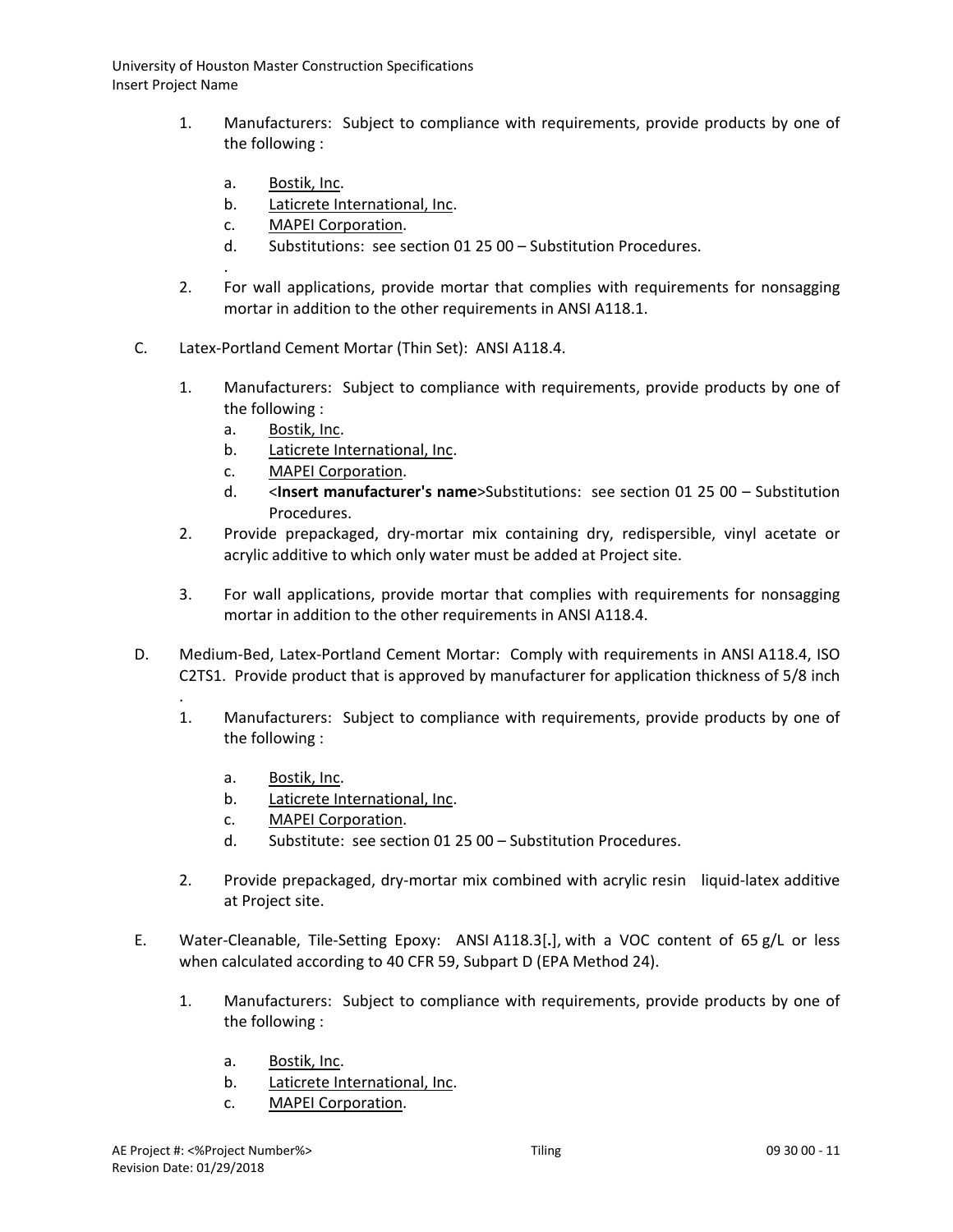- 1. Manufacturers: Subject to compliance with requirements, provide products by one of the following :
	- a. [Bostik, Inc.](http://www.specagent.com/LookUp/?uid=123456792714&mf=04&src=wd)

.

- b. [Laticrete International, Inc.](http://www.specagent.com/LookUp/?uid=123456792718&mf=04&src=wd)
- c. [MAPEI Corporation.](http://www.specagent.com/LookUp/?uid=123456792719&mf=04&src=wd)
- d. Substitutions: see section 01 25 00 Substitution Procedures.
- 2. For wall applications, provide mortar that complies with requirements for nonsagging mortar in addition to the other requirements in ANSI A118.1.
- C. Latex-Portland Cement Mortar (Thin Set): ANSI A118.4.
	- 1. Manufacturers: Subject to compliance with requirements, provide products by one of the following :
		- a. [Bostik, Inc.](http://www.specagent.com/LookUp/?uid=123456792705&mf=04&src=wd)
		- b. [Laticrete International, Inc.](http://www.specagent.com/LookUp/?uid=123456792709&mf=04&src=wd)
		- c. [MAPEI Corporation.](http://www.specagent.com/LookUp/?uid=123456792710&mf=04&src=wd)
		- d. <**Insert manufacturer's name**>Substitutions: see section 01 25 00 Substitution Procedures.
	- 2. Provide prepackaged, dry-mortar mix containing dry, redispersible, vinyl acetate or acrylic additive to which only water must be added at Project site.
	- 3. For wall applications, provide mortar that complies with requirements for nonsagging mortar in addition to the other requirements in ANSI A118.4.
- D. Medium-Bed, Latex-Portland Cement Mortar: Comply with requirements in ANSI A118.4, ISO C2TS1. Provide product that is approved by manufacturer for application thickness of 5/8 inch
	- . 1. Manufacturers: Subject to compliance with requirements, provide products by one of the following :
		- a. [Bostik, Inc.](http://www.specagent.com/LookUp/?uid=123456792690&mf=04&src=wd)
		- b. [Laticrete International, Inc.](http://www.specagent.com/LookUp/?uid=123456792697&mf=04&src=wd)
		- c. [MAPEI Corporation.](http://www.specagent.com/LookUp/?uid=123456792699&mf=04&src=wd)
		- d. Substitute: see section 01 25 00 Substitution Procedures.
	- 2. Provide prepackaged, dry-mortar mix combined with acrylic resin liquid-latex additive at Project site.
- E. Water-Cleanable, Tile-Setting Epoxy: ANSI A118.3[**.**], with a VOC content of 65 g/L or less when calculated according to 40 CFR 59, Subpart D (EPA Method 24).
	- 1. Manufacturers: Subject to compliance with requirements, provide products by one of the following :
		- a. [Bostik, Inc.](http://www.specagent.com/LookUp/?uid=123456792655&mf=04&src=wd)
		- b. [Laticrete International, Inc.](http://www.specagent.com/LookUp/?uid=123456792664&mf=04&src=wd)
		- c. [MAPEI Corporation.](http://www.specagent.com/LookUp/?uid=123456792667&mf=04&src=wd)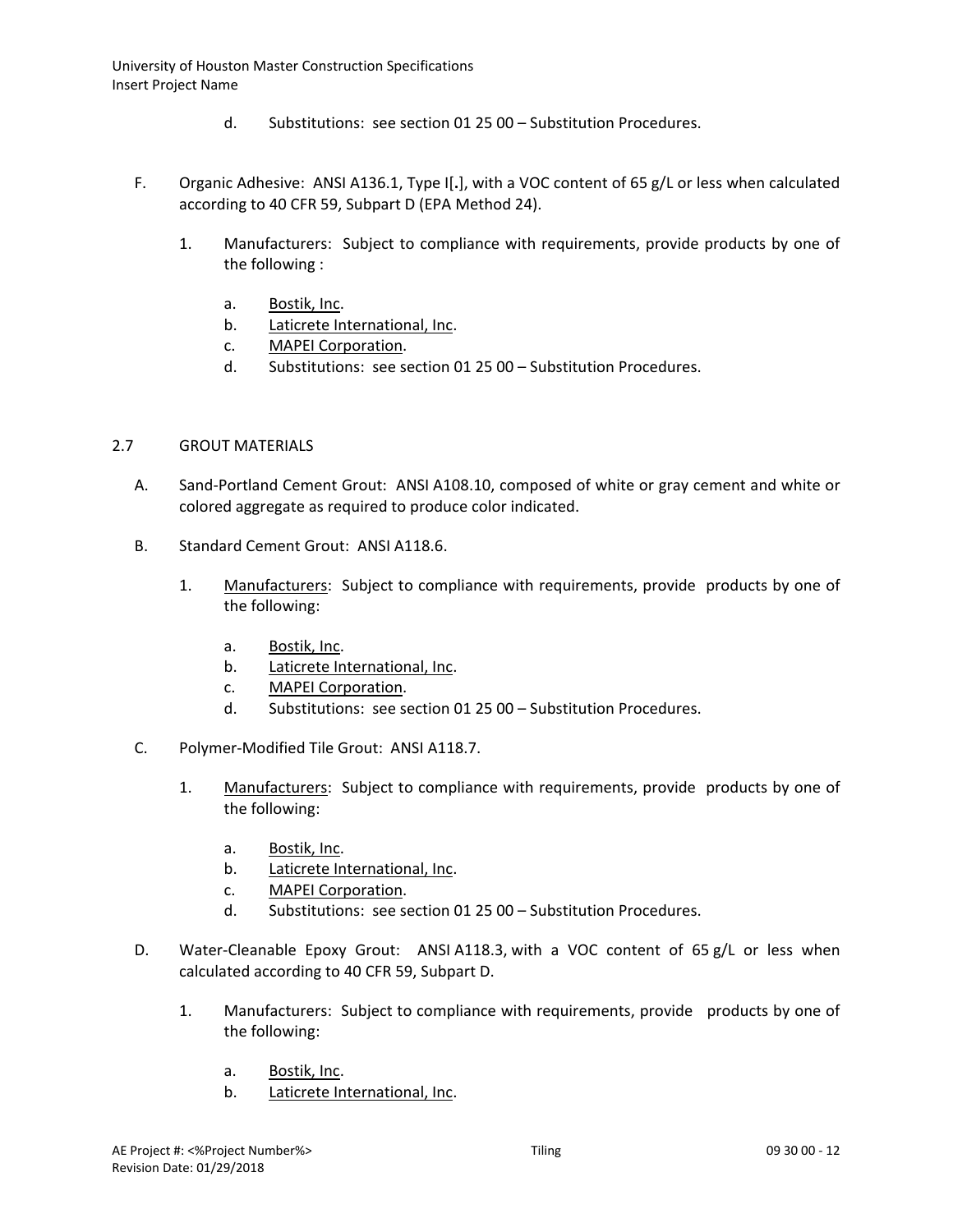- d. Substitutions: see section 01 25 00 Substitution Procedures.
- F. Organic Adhesive: ANSI A136.1, Type I[**.**], with a VOC content of 65 g/L or less when calculated according to 40 CFR 59, Subpart D (EPA Method 24).
	- 1. Manufacturers: Subject to compliance with requirements, provide products by one of the following :
		- a. [Bostik, Inc.](http://www.specagent.com/LookUp/?uid=123456792557&mf=04&src=wd)
		- b. [Laticrete International, Inc.](http://www.specagent.com/LookUp/?uid=123456792564&mf=04&src=wd)
		- c. [MAPEI Corporation.](http://www.specagent.com/LookUp/?uid=123456792566&mf=04&src=wd)
		- d. Substitutions: see section 01 25 00 Substitution Procedures.

### 2.7 GROUT MATERIALS

- A. Sand-Portland Cement Grout: ANSI A108.10, composed of white or gray cement and white or colored aggregate as required to produce color indicated.
- B. Standard Cement Grout: ANSI A118.6.
	- 1. Manufacturers: Subject to compliance with requirements, provide products by one of the following:
		- a. [Bostik, Inc.](http://www.specagent.com/LookUp/?uid=123456792645&mf=04&src=wd)
		- b. [Laticrete International, Inc.](http://www.specagent.com/LookUp/?uid=123456792636&mf=04&src=wd)
		- c. [MAPEI Corporation.](http://www.specagent.com/LookUp/?uid=123456792635&mf=04&src=wd)
		- d. Substitutions: see section 01 25 00 Substitution Procedures.
- C. Polymer-Modified Tile Grout: ANSI A118.7.
	- 1. Manufacturers: Subject to compliance with requirements, provide products by one of the following:
		- a. [Bostik, Inc.](http://www.specagent.com/LookUp/?uid=123456792608&mf=04&src=wd)
		- b. [Laticrete International, Inc.](http://www.specagent.com/LookUp/?uid=123456792620&mf=04&src=wd)
		- c. [MAPEI Corporation.](http://www.specagent.com/LookUp/?uid=123456792621&mf=04&src=wd)
		- d. Substitutions: see section 01 25 00 Substitution Procedures.
- D. Water-Cleanable Epoxy Grout: ANSI A118.3, with a VOC content of 65 g/L or less when calculated according to 40 CFR 59, Subpart D.
	- 1. Manufacturers: Subject to compliance with requirements, provide products by one of the following:
		- a. [Bostik, Inc.](http://www.specagent.com/LookUp/?uid=123456792601&mf=04&src=wd)
		- b. [Laticrete International, Inc.](http://www.specagent.com/LookUp/?uid=123456792590&mf=04&src=wd)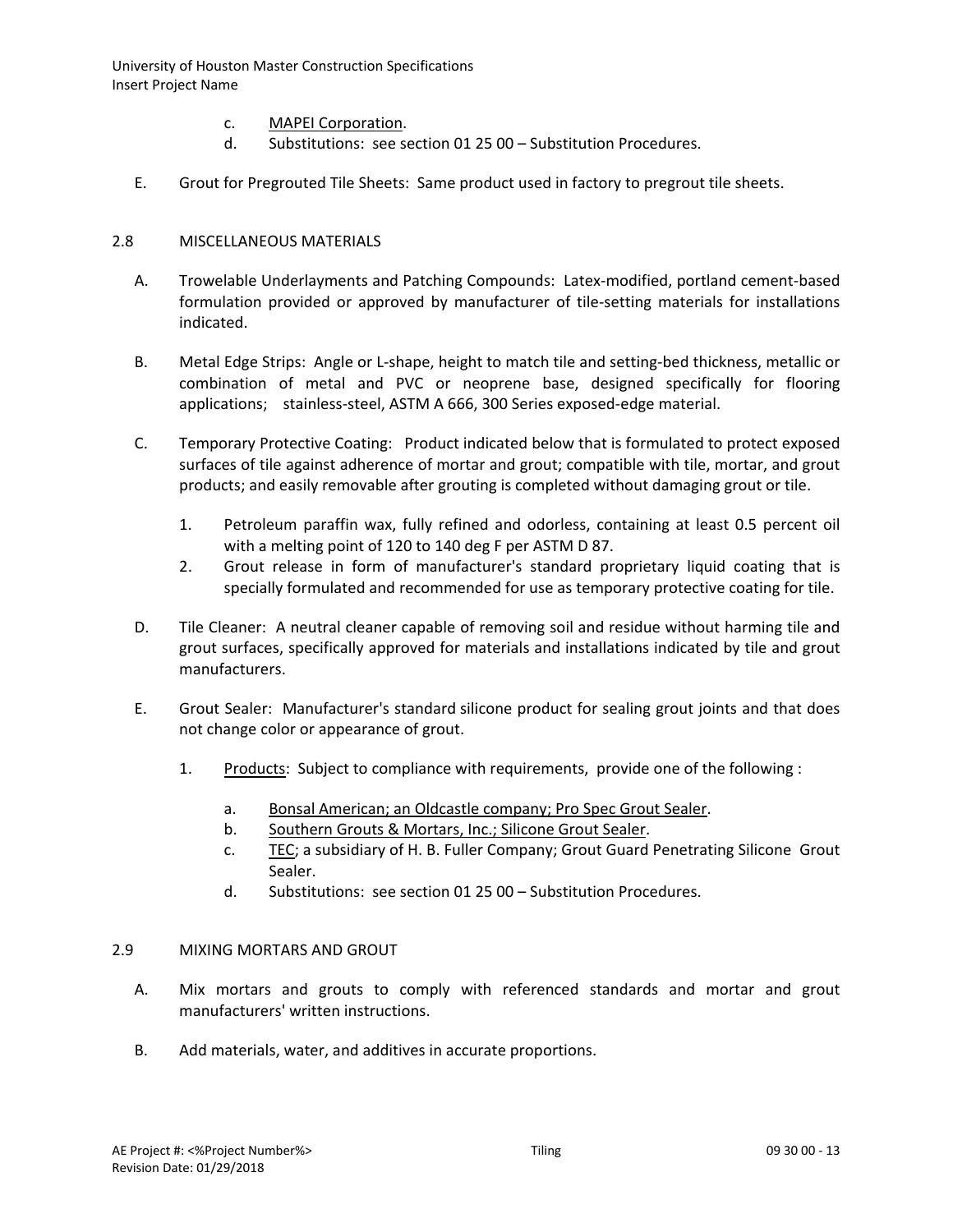- c. [MAPEI Corporation.](http://www.specagent.com/LookUp/?uid=123456792588&mf=04&src=wd)
- d. Substitutions: see section 01 25 00 Substitution Procedures.
- E. Grout for Pregrouted Tile Sheets: Same product used in factory to pregrout tile sheets.

### 2.8 MISCELLANEOUS MATERIALS

- A. Trowelable Underlayments and Patching Compounds: Latex-modified, portland cement-based formulation provided or approved by manufacturer of tile-setting materials for installations indicated.
- B. Metal Edge Strips: Angle or L-shape, height to match tile and setting-bed thickness, metallic or combination of metal and PVC or neoprene base, designed specifically for flooring applications; stainless-steel, ASTM A 666, 300 Series exposed-edge material.
- C. Temporary Protective Coating: Product indicated below that is formulated to protect exposed surfaces of tile against adherence of mortar and grout; compatible with tile, mortar, and grout products; and easily removable after grouting is completed without damaging grout or tile.
	- 1. Petroleum paraffin wax, fully refined and odorless, containing at least 0.5 percent oil with a melting point of 120 to 140 deg F per ASTM D 87.
	- 2. Grout release in form of manufacturer's standard proprietary liquid coating that is specially formulated and recommended for use as temporary protective coating for tile.
- D. Tile Cleaner: A neutral cleaner capable of removing soil and residue without harming tile and grout surfaces, specifically approved for materials and installations indicated by tile and grout manufacturers.
- E. Grout Sealer: Manufacturer's standard silicone product for sealing grout joints and that does not change color or appearance of grout.
	- 1. [Products:](http://www.specagent.com/LookUp/?ulid=311&mf=04&src=wd) Subject to compliance with requirements, provide one of the following :
		- a. [Bonsal American; an Oldcastle company; Pro Spec Grout Sealer.](http://www.specagent.com/LookUp/?uid=123456814932&mf=04&src=wd)
		- b. [Southern Grouts & Mortars, Inc.; Silicone Grout Sealer.](http://www.specagent.com/LookUp/?uid=123456814938&mf=04&src=wd)
		- c. [TEC;](http://www.specagent.com/LookUp/?uid=123456814940&mf=04&src=wd) a subsidiary of H. B. Fuller Company; Grout Guard Penetrating Silicone Grout Sealer.
		- d. Substitutions: see section 01 25 00 Substitution Procedures.

### 2.9 MIXING MORTARS AND GROUT

- A. Mix mortars and grouts to comply with referenced standards and mortar and grout manufacturers' written instructions.
- B. Add materials, water, and additives in accurate proportions.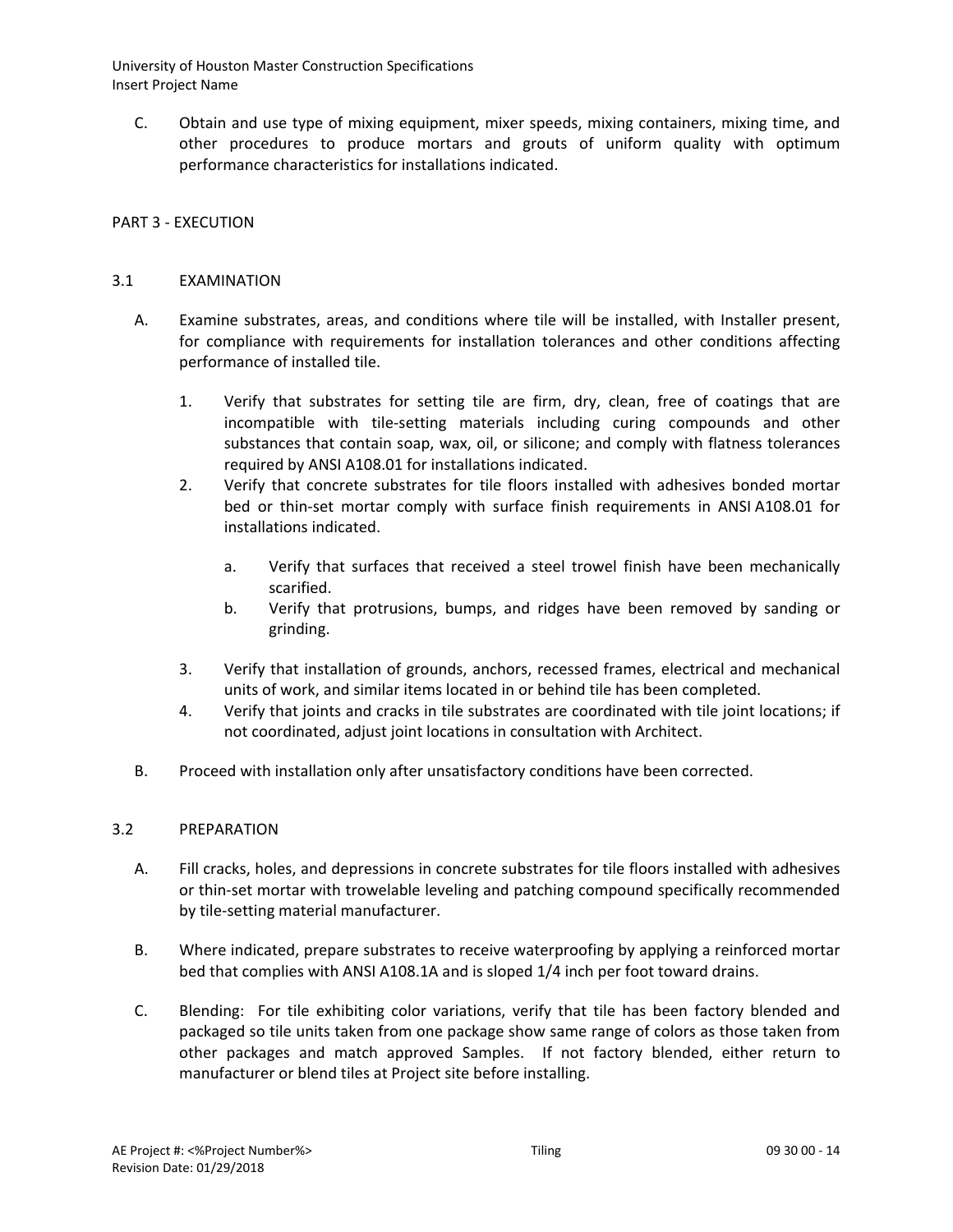C. Obtain and use type of mixing equipment, mixer speeds, mixing containers, mixing time, and other procedures to produce mortars and grouts of uniform quality with optimum performance characteristics for installations indicated.

# PART 3 - EXECUTION

### 3.1 EXAMINATION

- A. Examine substrates, areas, and conditions where tile will be installed, with Installer present, for compliance with requirements for installation tolerances and other conditions affecting performance of installed tile.
	- 1. Verify that substrates for setting tile are firm, dry, clean, free of coatings that are incompatible with tile-setting materials including curing compounds and other substances that contain soap, wax, oil, or silicone; and comply with flatness tolerances required by ANSI A108.01 for installations indicated.
	- 2. Verify that concrete substrates for tile floors installed with adhesives bonded mortar bed or thin-set mortar comply with surface finish requirements in ANSI A108.01 for installations indicated.
		- a. Verify that surfaces that received a steel trowel finish have been mechanically scarified.
		- b. Verify that protrusions, bumps, and ridges have been removed by sanding or grinding.
	- 3. Verify that installation of grounds, anchors, recessed frames, electrical and mechanical units of work, and similar items located in or behind tile has been completed.
	- 4. Verify that joints and cracks in tile substrates are coordinated with tile joint locations; if not coordinated, adjust joint locations in consultation with Architect.
- B. Proceed with installation only after unsatisfactory conditions have been corrected.

### 3.2 PREPARATION

- A. Fill cracks, holes, and depressions in concrete substrates for tile floors installed with adhesives or thin-set mortar with trowelable leveling and patching compound specifically recommended by tile-setting material manufacturer.
- B. Where indicated, prepare substrates to receive waterproofing by applying a reinforced mortar bed that complies with ANSI A108.1A and is sloped 1/4 inch per foot toward drains.
- C. Blending: For tile exhibiting color variations, verify that tile has been factory blended and packaged so tile units taken from one package show same range of colors as those taken from other packages and match approved Samples. If not factory blended, either return to manufacturer or blend tiles at Project site before installing.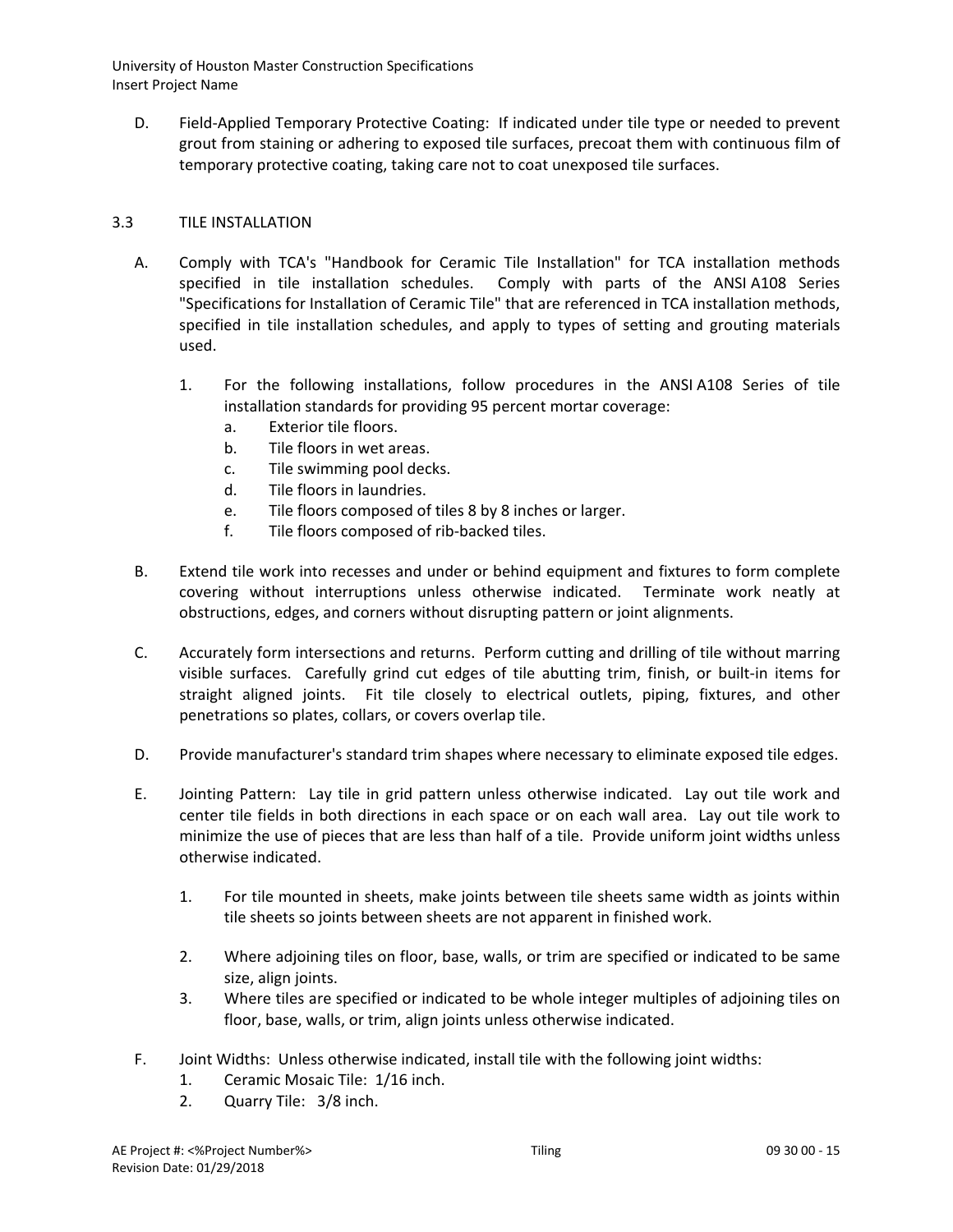D. Field-Applied Temporary Protective Coating: If indicated under tile type or needed to prevent grout from staining or adhering to exposed tile surfaces, precoat them with continuous film of temporary protective coating, taking care not to coat unexposed tile surfaces.

# 3.3 TILE INSTALLATION

- A. Comply with TCA's "Handbook for Ceramic Tile Installation" for TCA installation methods specified in tile installation schedules. Comply with parts of the ANSI A108 Series "Specifications for Installation of Ceramic Tile" that are referenced in TCA installation methods, specified in tile installation schedules, and apply to types of setting and grouting materials used.
	- 1. For the following installations, follow procedures in the ANSI A108 Series of tile installation standards for providing 95 percent mortar coverage:
		- a. Exterior tile floors.
		- b. Tile floors in wet areas.
		- c. Tile swimming pool decks.
		- d. Tile floors in laundries.
		- e. Tile floors composed of tiles 8 by 8 inches or larger.
		- f. Tile floors composed of rib-backed tiles.
- B. Extend tile work into recesses and under or behind equipment and fixtures to form complete covering without interruptions unless otherwise indicated. Terminate work neatly at obstructions, edges, and corners without disrupting pattern or joint alignments.
- C. Accurately form intersections and returns. Perform cutting and drilling of tile without marring visible surfaces. Carefully grind cut edges of tile abutting trim, finish, or built-in items for straight aligned joints. Fit tile closely to electrical outlets, piping, fixtures, and other penetrations so plates, collars, or covers overlap tile.
- D. Provide manufacturer's standard trim shapes where necessary to eliminate exposed tile edges.
- E. Jointing Pattern: Lay tile in grid pattern unless otherwise indicated. Lay out tile work and center tile fields in both directions in each space or on each wall area. Lay out tile work to minimize the use of pieces that are less than half of a tile. Provide uniform joint widths unless otherwise indicated.
	- 1. For tile mounted in sheets, make joints between tile sheets same width as joints within tile sheets so joints between sheets are not apparent in finished work.
	- 2. Where adjoining tiles on floor, base, walls, or trim are specified or indicated to be same size, align joints.
	- 3. Where tiles are specified or indicated to be whole integer multiples of adjoining tiles on floor, base, walls, or trim, align joints unless otherwise indicated.
- F. Joint Widths: Unless otherwise indicated, install tile with the following joint widths:
	- 1. Ceramic Mosaic Tile: 1/16 inch.
	- 2. Quarry Tile: 3/8 inch.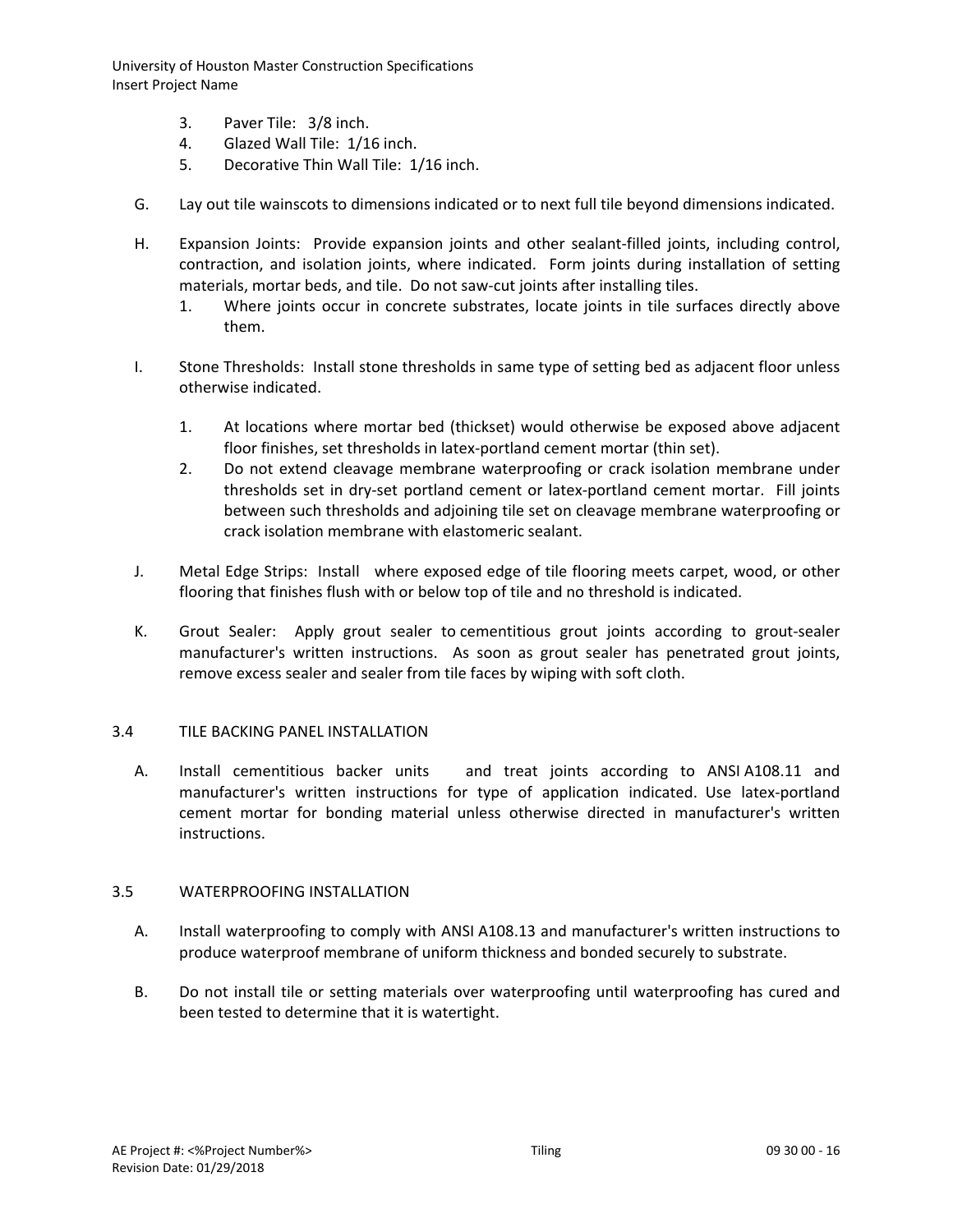- 3. Paver Tile: 3/8 inch.
- 4. Glazed Wall Tile: 1/16 inch.
- 5. Decorative Thin Wall Tile: 1/16 inch.
- G. Lay out tile wainscots to dimensions indicated or to next full tile beyond dimensions indicated.
- H. Expansion Joints: Provide expansion joints and other sealant-filled joints, including control, contraction, and isolation joints, where indicated. Form joints during installation of setting materials, mortar beds, and tile. Do not saw-cut joints after installing tiles.
	- 1. Where joints occur in concrete substrates, locate joints in tile surfaces directly above them.
- I. Stone Thresholds: Install stone thresholds in same type of setting bed as adjacent floor unless otherwise indicated.
	- 1. At locations where mortar bed (thickset) would otherwise be exposed above adjacent floor finishes, set thresholds in latex-portland cement mortar (thin set).
	- 2. Do not extend cleavage membrane waterproofing or crack isolation membrane under thresholds set in dry-set portland cement or latex-portland cement mortar. Fill joints between such thresholds and adjoining tile set on cleavage membrane waterproofing or crack isolation membrane with elastomeric sealant.
- J. Metal Edge Strips: Install where exposed edge of tile flooring meets carpet, wood, or other flooring that finishes flush with or below top of tile and no threshold is indicated.
- K. Grout Sealer: Apply grout sealer to cementitious grout joints according to grout-sealer manufacturer's written instructions. As soon as grout sealer has penetrated grout joints, remove excess sealer and sealer from tile faces by wiping with soft cloth.

### 3.4 TILE BACKING PANEL INSTALLATION

A. Install cementitious backer units and treat joints according to ANSI A108.11 and manufacturer's written instructions for type of application indicated. Use latex-portland cement mortar for bonding material unless otherwise directed in manufacturer's written instructions.

#### 3.5 WATERPROOFING INSTALLATION

- A. Install waterproofing to comply with ANSI A108.13 and manufacturer's written instructions to produce waterproof membrane of uniform thickness and bonded securely to substrate.
- B. Do not install tile or setting materials over waterproofing until waterproofing has cured and been tested to determine that it is watertight.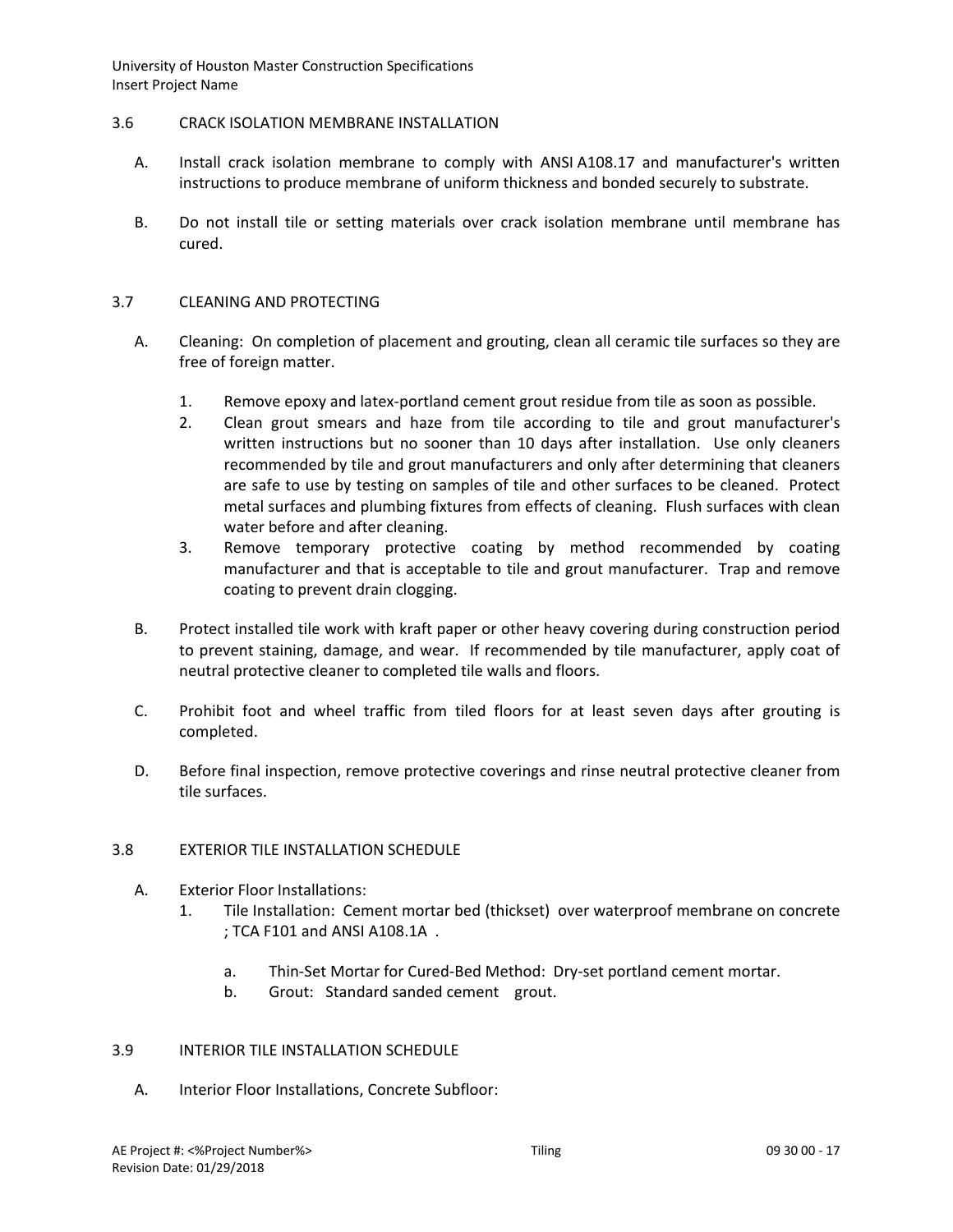### 3.6 CRACK ISOLATION MEMBRANE INSTALLATION

- A. Install crack isolation membrane to comply with ANSI A108.17 and manufacturer's written instructions to produce membrane of uniform thickness and bonded securely to substrate.
- B. Do not install tile or setting materials over crack isolation membrane until membrane has cured.

#### 3.7 CLEANING AND PROTECTING

- A. Cleaning: On completion of placement and grouting, clean all ceramic tile surfaces so they are free of foreign matter.
	- 1. Remove epoxy and latex-portland cement grout residue from tile as soon as possible.
	- 2. Clean grout smears and haze from tile according to tile and grout manufacturer's written instructions but no sooner than 10 days after installation. Use only cleaners recommended by tile and grout manufacturers and only after determining that cleaners are safe to use by testing on samples of tile and other surfaces to be cleaned. Protect metal surfaces and plumbing fixtures from effects of cleaning. Flush surfaces with clean water before and after cleaning.
	- 3. Remove temporary protective coating by method recommended by coating manufacturer and that is acceptable to tile and grout manufacturer. Trap and remove coating to prevent drain clogging.
- B. Protect installed tile work with kraft paper or other heavy covering during construction period to prevent staining, damage, and wear. If recommended by tile manufacturer, apply coat of neutral protective cleaner to completed tile walls and floors.
- C. Prohibit foot and wheel traffic from tiled floors for at least seven days after grouting is completed.
- D. Before final inspection, remove protective coverings and rinse neutral protective cleaner from tile surfaces.

### 3.8 EXTERIOR TILE INSTALLATION SCHEDULE

- A. Exterior Floor Installations:
	- 1. Tile Installation: Cement mortar bed (thickset) over waterproof membrane on concrete ; TCA F101 and ANSI A108.1A .
		- a. Thin-Set Mortar for Cured-Bed Method: Dry-set portland cement mortar.
		- b. Grout: Standard sanded cement grout.

### 3.9 INTERIOR TILE INSTALLATION SCHEDULE

A. Interior Floor Installations, Concrete Subfloor: